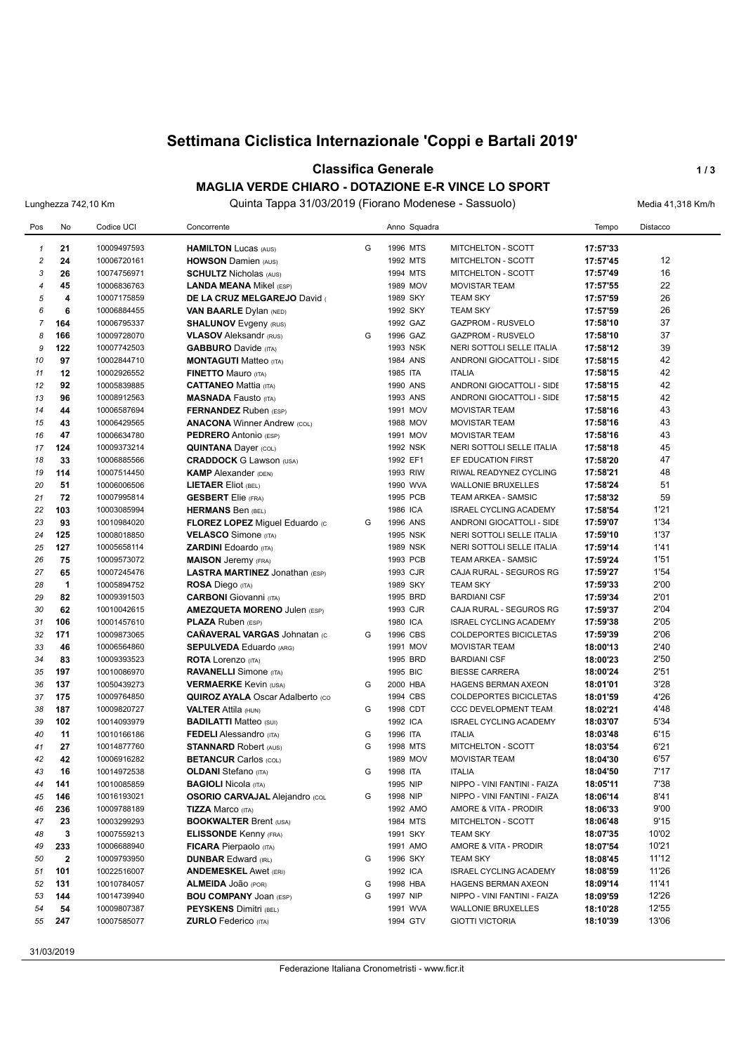# **Settimana Ciclistica Internazionale 'Coppi e Bartali 2019'**

#### **Classifica Generale 1/3**

### **MAGLIA VERDE CHIARO - DOTAZIONE E-R VINCE LO SPORT**

Lunghezza 742,10 Km **CHUI CHUING Tappa 31/03/2019 (Fiorano Modenese - Sassuolo)** Media 41,318 Km/h

| Pos            | No                      | Codice UCI                 | Concorrente                                                    |   | Anno Squadra         |                                                     | Tempo                | Distacco       |
|----------------|-------------------------|----------------------------|----------------------------------------------------------------|---|----------------------|-----------------------------------------------------|----------------------|----------------|
| $\mathbf{1}$   | 21                      | 10009497593                | <b>HAMILTON Lucas (AUS)</b>                                    | G | 1996 MTS             | MITCHELTON - SCOTT                                  | 17:57'33             |                |
| $\sqrt{2}$     | 24                      | 10006720161                | <b>HOWSON Damien (AUS)</b>                                     |   | 1992 MTS             | MITCHELTON - SCOTT                                  | 17:57'45             | 12             |
| 3              | 26                      | 10074756971                | <b>SCHULTZ Nicholas (AUS)</b>                                  |   | 1994 MTS             | MITCHELTON - SCOTT                                  | 17:57'49             | 16             |
| 4              | 45                      | 10006836763                | <b>LANDA MEANA Mikel (ESP)</b>                                 |   | 1989 MOV             | <b>MOVISTAR TEAM</b>                                | 17:57'55             | 22             |
| 5              | $\overline{\mathbf{4}}$ | 10007175859                | DE LA CRUZ MELGAREJO David                                     |   | 1989 SKY             | <b>TEAM SKY</b>                                     | 17:57'59             | 26             |
| 6              | 6                       | 10006884455                | <b>VAN BAARLE Dylan (NED)</b>                                  |   | 1992 SKY             | <b>TEAM SKY</b>                                     | 17:57'59             | 26             |
| $\overline{7}$ | 164                     | 10006795337                | <b>SHALUNOV</b> Evgeny (RUS)                                   |   | 1992 GAZ             | <b>GAZPROM - RUSVELO</b>                            | 17:58'10             | 37             |
| 8              | 166                     | 10009728070                | <b>VLASOV</b> Aleksandr (RUS)                                  | G | 1996 GAZ             | <b>GAZPROM - RUSVELO</b>                            | 17:58'10             | 37             |
| 9              | 122                     | 10007742503                | <b>GABBURO</b> Davide (ITA)                                    |   | 1993 NSK             | NERI SOTTOLI SELLE ITALIA                           | 17:58'12             | 39             |
| 10             | 97                      | 10002844710                | <b>MONTAGUTI Matteo (ITA)</b>                                  |   | 1984 ANS             | ANDRONI GIOCATTOLI - SIDE                           | 17:58'15             | 42             |
| 11             | 12                      | 10002926552                | <b>FINETTO Mauro (ITA)</b>                                     |   | 1985 ITA             | <b>ITALIA</b>                                       | 17:58'15             | 42             |
| 12             | 92                      | 10005839885                | <b>CATTANEO Mattia (ITA)</b>                                   |   | 1990 ANS             | ANDRONI GIOCATTOLI - SIDE                           | 17:58'15             | 42             |
| 13             | 96                      | 10008912563                | <b>MASNADA Fausto (ITA)</b>                                    |   | 1993 ANS             | ANDRONI GIOCATTOLI - SIDE                           | 17:58'15             | 42             |
| 14             | 44                      | 10006587694                | <b>FERNANDEZ</b> Ruben (ESP)                                   |   | 1991 MOV             | <b>MOVISTAR TEAM</b>                                | 17:58'16             | 43             |
| 15             | 43                      | 10006429565                | <b>ANACONA Winner Andrew (COL)</b>                             |   | 1988 MOV             | <b>MOVISTAR TEAM</b>                                | 17:58'16             | 43             |
| 16             | 47                      | 10006634780                | <b>PEDRERO</b> Antonio (ESP)                                   |   | 1991 MOV             | <b>MOVISTAR TEAM</b>                                | 17:58'16             | 43             |
| 17             | 124                     | 10009373214                | <b>QUINTANA Dayer (COL)</b>                                    |   | 1992 NSK             | NERI SOTTOLI SELLE ITALIA                           | 17:58'18             | 45             |
| 18             | 33                      | 10006885566                | <b>CRADDOCK</b> G Lawson (USA)                                 |   | 1992 EF1             | EF EDUCATION FIRST                                  | 17:58'20             | 47             |
| 19             | 114                     | 10007514450                | <b>KAMP</b> Alexander (DEN)                                    |   | 1993 RIW             | RIWAL READYNEZ CYCLING                              | 17:58'21             | 48             |
| 20             | 51                      | 10006006506                | <b>LIETAER Eliot (BEL)</b>                                     |   | 1990 WVA             | <b>WALLONIE BRUXELLES</b>                           | 17:58'24             | 51             |
| 21             | 72                      | 10007995814                | <b>GESBERT</b> Elie (FRA)                                      |   | 1995 PCB             | TEAM ARKEA - SAMSIC                                 | 17:58'32             | 59             |
| 22             | 103                     | 10003085994                | <b>HERMANS Ben (BEL)</b>                                       |   | 1986 ICA             | <b>ISRAEL CYCLING ACADEMY</b>                       | 17:58'54             | 1'21           |
| 23             | 93                      | 10010984020                | FLOREZ LOPEZ Miguel Eduardo (c                                 | G | 1996 ANS             | ANDRONI GIOCATTOLI - SIDE                           | 17:59'07             | 1'34           |
| 24             | 125                     | 10008018850                | <b>VELASCO</b> Simone (ITA)                                    |   | 1995 NSK             | NERI SOTTOLI SELLE ITALIA                           | 17:59'10             | 1'37           |
| 25             | 127                     | 10005658114                | <b>ZARDINI</b> Edoardo (ITA)                                   |   | 1989 NSK             | NERI SOTTOLI SELLE ITALIA                           | 17:59'14             | 1'41           |
| 26             | 75                      | 10009573072                | <b>MAISON</b> Jeremy (FRA)                                     |   | 1993 PCB             | TEAM ARKEA - SAMSIC                                 | 17:59'24             | 1'51           |
| 27             | 65                      | 10007245476                | <b>LASTRA MARTINEZ Jonathan (ESP)</b>                          |   | 1993 CJR             | CAJA RURAL - SEGUROS RG                             | 17:59'27             | 1'54           |
| 28             | $\mathbf{1}$            | 10005894752                | ROSA Diego (ITA)                                               |   | 1989 SKY             | <b>TEAM SKY</b>                                     | 17:59'33             | 2'00           |
| 29             | 82                      | 10009391503                | <b>CARBONI</b> Giovanni (ITA)                                  |   | 1995 BRD             | <b>BARDIANI CSF</b>                                 | 17:59'34             | 2'01           |
| 30             | 62                      | 10010042615                | <b>AMEZQUETA MORENO Julen (ESP)</b>                            |   | 1993 CJR             | CAJA RURAL - SEGUROS RG                             | 17:59'37             | 2'04           |
| 31             | 106                     | 10001457610                | <b>PLAZA Ruben (ESP)</b>                                       |   | 1980 ICA             | <b>ISRAEL CYCLING ACADEMY</b>                       | 17:59'38             | 2'05           |
| 32             | 171                     | 10009873065                | <b>CAÑAVERAL VARGAS Johnatan (C</b>                            | G | 1996 CBS             | COLDEPORTES BICICLETAS                              | 17:59'39             | 2'06           |
| 33             | 46                      | 10006564860                | <b>SEPULVEDA Eduardo (ARG)</b>                                 |   | 1991 MOV             | <b>MOVISTAR TEAM</b>                                | 18:00'13             | 2'40           |
| 34             | 83                      | 10009393523                | <b>ROTA Lorenzo (ITA)</b>                                      |   | 1995 BRD             | <b>BARDIANI CSF</b>                                 | 18:00'23             | 2'50           |
| 35             | 197                     | 10010086970                | <b>RAVANELLI</b> Simone (ITA)                                  |   | 1995 BIC             | <b>BIESSE CARRERA</b>                               | 18:00'24             | 2'51           |
| 36             | 137                     | 10050439273                | <b>VERMAERKE Kevin (USA)</b>                                   | G | 2000 HBA             | HAGENS BERMAN AXEON                                 | 18:01'01             | 3'28           |
| 37             | 175                     | 10009764850                | <b>QUIROZ AYALA Oscar Adalberto (CO</b>                        |   | 1994 CBS             | COLDEPORTES BICICLETAS                              | 18:01'59             | 4'26           |
| 38             | 187                     | 10009820727                | <b>VALTER Attila (HUN)</b>                                     | G | 1998 CDT             | <b>CCC DEVELOPMENT TEAM</b>                         | 18:02'21             | 4'48           |
| 39             | 102                     | 10014093979                | <b>BADILATTI Matteo (SUI)</b>                                  |   | 1992 ICA             | <b>ISRAEL CYCLING ACADEMY</b>                       | 18:03'07             | 5'34           |
| 40             | 11                      | 10010166186                | <b>FEDELI</b> Alessandro (ITA)                                 | G | 1996 ITA             | <b>ITALIA</b>                                       | 18:03'48             | 6'15           |
| 41             | 27                      | 10014877760                | <b>STANNARD Robert (AUS)</b>                                   | G | 1998 MTS             | MITCHELTON - SCOTT                                  | 18:03'54             | 6'21           |
| 42             | 42                      | 10006916282                | <b>BETANCUR Carlos (COL)</b>                                   |   | 1989 MOV             | <b>MOVISTAR TEAM</b>                                | 18:04'30             | 6'57           |
| 43             | 16                      | 10014972538                | <b>OLDANI</b> Stefano (ITA)                                    | G | 1998 ITA             | <b>ITALIA</b>                                       | 18:04'50             | 7'17           |
| 44             | 141                     | 10010085859                | <b>BAGIOLI Nicola (ITA)</b>                                    |   | 1995 NIP             | NIPPO - VINI FANTINI - FAIZA                        | 18:05'11             | 7'38           |
| 45             | 146                     | 10016193021                | <b>OSORIO CARVAJAL Alejandro (COL</b>                          | G | 1998 NIP             | NIPPO - VINI FANTINI - FAIZA                        | 18:06'14             | 8'41           |
| 46             | 236                     | 10009788189                | <b>TIZZA Marco (ITA)</b>                                       |   | 1992 AMO             | AMORE & VITA - PRODIR                               | 18:06'33             | 9'00           |
| 47             | 23                      | 10003299293                | <b>BOOKWALTER Brent (USA)</b>                                  |   | 1984 MTS             | MITCHELTON - SCOTT                                  | 18:06'48             | 9'15           |
| 48             | 3                       | 10007559213<br>10006688940 | <b>ELISSONDE Kenny (FRA)</b>                                   |   | 1991 SKY             | <b>TEAM SKY</b><br>AMORE & VITA - PRODIR            | 18:07'35             | 10'02<br>10'21 |
| 49<br>50       | 233                     |                            | <b>FICARA</b> Pierpaolo (ITA)                                  |   | 1991 AMO             |                                                     | 18:07'54             | 11'12          |
| 51             | $\mathbf{2}$<br>101     | 10009793950<br>10022516007 | <b>DUNBAR Edward (IRL)</b>                                     | G | 1996 SKY             | <b>TEAM SKY</b><br><b>ISRAEL CYCLING ACADEMY</b>    | 18:08'45             | 11'26          |
| 52             | 131                     |                            | <b>ANDEMESKEL Awet (ERI)</b><br>ALMEIDA JOão (POR)             | G | 1992 ICA             |                                                     | 18:08'59<br>18:09'14 | 11'41          |
| 53             | 144                     | 10010784057<br>10014739940 |                                                                | G | 1998 HBA<br>1997 NIP | HAGENS BERMAN AXEON<br>NIPPO - VINI FANTINI - FAIZA |                      | 12'26          |
|                |                         |                            | <b>BOU COMPANY JOAN (ESP)</b><br><b>PEYSKENS Dimitri (BEL)</b> |   |                      |                                                     | 18:09'59             | 12'55          |
| 54<br>55       | 54                      | 10009807387<br>10007585077 |                                                                |   | 1991 WVA<br>1994 GTV | <b>WALLONIE BRUXELLES</b>                           | 18:10'28             | 13'06          |
|                | 247                     |                            | <b>ZURLO</b> Federico (ITA)                                    |   |                      | <b>GIOTTI VICTORIA</b>                              | 18:10'39             |                |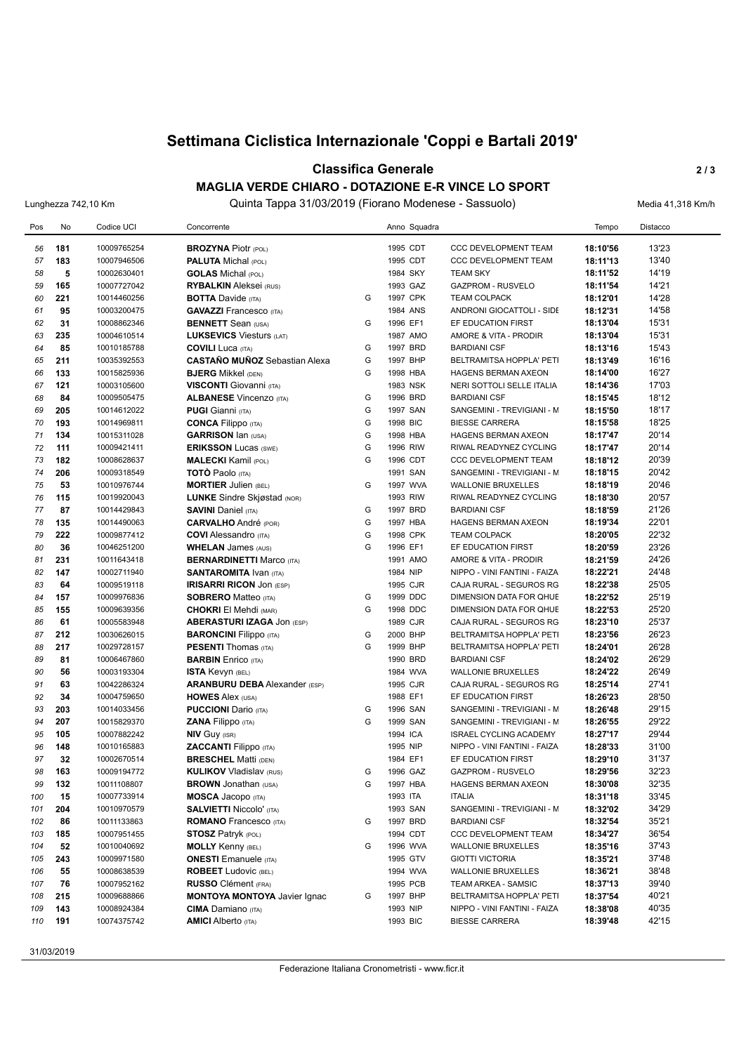### **Settimana Ciclistica Internazionale 'Coppi e Bartali 2019'**

#### **Classifica Generale 2 / 3**

Media 41,318 Km/h

|                     |            |             | <b>MAGLIA VERDE CHIARO - DOTAZIONE E-R VINCE LO SPORT</b>        |   |              |                               |                      |          |  |
|---------------------|------------|-------------|------------------------------------------------------------------|---|--------------|-------------------------------|----------------------|----------|--|
| Lunghezza 742,10 Km |            |             | Quinta Tappa 31/03/2019 (Fiorano Modenese - Sassuolo)            |   |              |                               |                      |          |  |
| Pos                 | No         | Codice UCI  | Concorrente                                                      |   | Anno Squadra |                               | Tempo                | Distacco |  |
| 56                  | 181        | 10009765254 | <b>BROZYNA Piotr (POL)</b>                                       |   | 1995 CDT     | <b>CCC DEVELOPMENT TEAM</b>   | 18:10'56             | 13'23    |  |
| 57                  | 183        | 10007946506 | <b>PALUTA Michal (POL)</b>                                       |   | 1995 CDT     | <b>CCC DEVELOPMENT TEAM</b>   | 18:11'13             | 13'40    |  |
| 58                  | 5          | 10002630401 | <b>GOLAS</b> Michal (POL)                                        |   | 1984 SKY     | <b>TEAM SKY</b>               | 18:11'52             | 14'19    |  |
| 59                  | 165        | 10007727042 | <b>RYBALKIN</b> Aleksei (RUS)                                    |   | 1993 GAZ     | <b>GAZPROM - RUSVELO</b>      | 18:11'54             | 14'21    |  |
| 60                  | 221        | 10014460256 | <b>BOTTA Davide (ITA)</b>                                        | G | 1997 CPK     | <b>TEAM COLPACK</b>           | 18:12'01             | 14'28    |  |
| 61                  | 95         | 10003200475 | <b>GAVAZZI Francesco (ITA)</b>                                   |   | 1984 ANS     | ANDRONI GIOCATTOLI - SIDE     | 18:12'31             | 14'58    |  |
| 62                  | 31         | 10008862346 | <b>BENNETT</b> Sean (USA)                                        | G | 1996 EF1     | EF EDUCATION FIRST            | 18:13'04             | 15'31    |  |
| 63                  | 235        | 10004610514 | <b>LUKSEVICS Viesturs (LAT)</b>                                  |   | 1987 AMO     | AMORE & VITA - PRODIR         | 18:13'04             | 15'31    |  |
| 64                  | 85         | 10010185788 | <b>COVILI Luca (ITA)</b>                                         | G | 1997 BRD     | <b>BARDIANI CSF</b>           | 18:13'16             | 15'43    |  |
| 65                  | 211        | 10035392553 | <b>CASTAÑO MUÑOZ</b> Sebastian Alexa                             | G | 1997 BHP     | BELTRAMITSA HOPPLA' PETI      | 18:13'49             | 16'16    |  |
| 66                  | 133        | 10015825936 | <b>BJERG</b> Mikkel (DEN)                                        | G | 1998 HBA     | <b>HAGENS BERMAN AXEON</b>    | 18:14'00             | 16'27    |  |
| 67                  | 121        | 10003105600 | <b>VISCONTI</b> Giovanni (ITA)                                   |   | 1983 NSK     | NERI SOTTOLI SELLE ITALIA     | 18:14'36             | 17'03    |  |
| 68                  | 84         | 10009505475 | <b>ALBANESE Vincenzo (ITA)</b>                                   | G | 1996 BRD     | <b>BARDIANI CSF</b>           | 18:15'45             | 18'12    |  |
| 69                  | 205        | 10014612022 | <b>PUGI Gianni</b> (ITA)                                         | G | 1997 SAN     | SANGEMINI - TREVIGIANI - M    | 18:15'50             | 18'17    |  |
| 70                  | 193        | 10014969811 | <b>CONCA Filippo</b> (ITA)                                       | G | 1998 BIC     | <b>BIESSE CARRERA</b>         | 18:15'58             | 18'25    |  |
| 71                  | 134        | 10015311028 | <b>GARRISON Ian (USA)</b>                                        | G | 1998 HBA     | <b>HAGENS BERMAN AXEON</b>    | 18:17'47             | 20'14    |  |
| 72                  | 111        | 10009421411 | <b>ERIKSSON Lucas (SWE)</b>                                      | G | 1996 RIW     | RIWAL READYNEZ CYCLING        | 18:17'47             | 20'14    |  |
| 73                  | 182        | 10008628637 | <b>MALECKI</b> Kamil (POL)                                       | G | 1996 CDT     | <b>CCC DEVELOPMENT TEAM</b>   | 18:18'12             | 20'39    |  |
| 74                  | 206        | 10009318549 | TOTÒ Paolo (ITA)                                                 |   | 1991 SAN     | SANGEMINI - TREVIGIANI - M    | 18:18'15             | 20'42    |  |
| 75                  | 53         | 10010976744 | <b>MORTIER Julien (BEL)</b>                                      | G | 1997 WVA     | <b>WALLONIE BRUXELLES</b>     | 18:18'19             | 20'46    |  |
| 76                  | 115        | 10019920043 |                                                                  |   | 1993 RIW     |                               |                      | 20'57    |  |
| 77                  | 87         |             | <b>LUNKE</b> Sindre Skjøstad (NOR)<br><b>SAVINI Daniel (ITA)</b> | G | 1997 BRD     | RIWAL READYNEZ CYCLING        | 18:18'30<br>18:18'59 | 21'26    |  |
| 78                  |            | 10014429843 |                                                                  | G | 1997 HBA     | <b>BARDIANI CSF</b>           |                      | 22'01    |  |
| 79                  | 135<br>222 | 10014490063 | <b>CARVALHO</b> André (POR)                                      | G |              | HAGENS BERMAN AXEON           | 18:19'34             | 22'32    |  |
|                     |            | 10009877412 | <b>COVI</b> Alessandro (ITA)                                     | G | 1998 CPK     | <b>TEAM COLPACK</b>           | 18:20'05             | 23'26    |  |
| 80                  | 36         | 10046251200 | <b>WHELAN James (AUS)</b>                                        |   | 1996 EF1     | EF EDUCATION FIRST            | 18:20'59             |          |  |
| 81                  | 231        | 10011643418 | <b>BERNARDINETTI Marco (ITA)</b>                                 |   | 1991 AMO     | AMORE & VITA - PRODIR         | 18:21'59             | 24'26    |  |
| 82                  | 147        | 10002711940 | <b>SANTAROMITA IVAN (ITA)</b>                                    |   | 1984 NIP     | NIPPO - VINI FANTINI - FAIZA  | 18:22'21             | 24'48    |  |
| 83                  | 64         | 10009519118 | <b>IRISARRI RICON JON (ESP)</b>                                  |   | 1995 CJR     | CAJA RURAL - SEGUROS RG       | 18:22'38             | 25'05    |  |
| 84                  | 157        | 10009976836 | <b>SOBRERO Matteo (ITA)</b>                                      | G | 1999 DDC     | DIMENSION DATA FOR QHUE       | 18:22'52             | 25'19    |  |
| 85                  | 155        | 10009639356 | <b>CHOKRI</b> El Mehdi (MAR)                                     | G | 1998 DDC     | DIMENSION DATA FOR QHUE       | 18:22'53             | 25'20    |  |
| 86                  | 61         | 10005583948 | <b>ABERASTURI IZAGA JON (ESP)</b>                                |   | 1989 CJR     | CAJA RURAL - SEGUROS RG       | 18:23'10             | 25'37    |  |
| 87                  | 212        | 10030626015 | <b>BARONCINI Filippo</b> (ITA)                                   | G | 2000 BHP     | BELTRAMITSA HOPPLA' PETI      | 18:23'56             | 26'23    |  |
| 88                  | 217        | 10029728157 | <b>PESENTI</b> Thomas (ITA)                                      | G | 1999 BHP     | BELTRAMITSA HOPPLA' PETI      | 18:24'01             | 26'28    |  |
| 89                  | 81         | 10006467860 | <b>BARBIN</b> Enrico (ITA)                                       |   | 1990 BRD     | <b>BARDIANI CSF</b>           | 18:24'02             | 26'29    |  |
| 90                  | 56         | 10003193304 | <b>ISTA Kevyn (BEL)</b>                                          |   | 1984 WVA     | <b>WALLONIE BRUXELLES</b>     | 18:24'22             | 26'49    |  |
| 91                  | 63         | 10042286324 | <b>ARANBURU DEBA</b> Alexander (ESP)                             |   | 1995 CJR     | CAJA RURAL - SEGUROS RG       | 18:25'14             | 27'41    |  |
| 92                  | 34         | 10004759650 | <b>HOWES Alex (USA)</b>                                          |   | 1988 EF1     | EF EDUCATION FIRST            | 18:26'23             | 28'50    |  |
| 93                  | 203        | 10014033456 | <b>PUCCIONI</b> Dario (ITA)                                      | G | 1996 SAN     | SANGEMINI - TREVIGIANI - M    | 18:26'48             | 29'15    |  |
| 94                  | 207        | 10015829370 | <b>ZANA Filippo</b> (ITA)                                        | G | 1999 SAN     | SANGEMINI - TREVIGIANI - M    | 18:26'55             | 29'22    |  |
| 95                  | 105        | 10007882242 | <b>NIV Guy (ISR)</b>                                             |   | 1994 ICA     | <b>ISRAEL CYCLING ACADEMY</b> | 18:27'17             | 29'44    |  |
| 96                  | 148        | 10010165883 | <b>ZACCANTI Filippo (ITA)</b>                                    |   | 1995 NIP     | NIPPO - VINI FANTINI - FAIZA  | 18:28'33             | 31'00    |  |
| 97                  | 32         | 10002670514 | <b>BRESCHEL Matti (DEN)</b>                                      |   | 1984 EF1     | EF EDUCATION FIRST            | 18:29'10             | 31'37    |  |
| 98                  | 163        | 10009194772 | <b>KULIKOV Vladislav (RUS)</b>                                   | G | 1996 GAZ     | <b>GAZPROM - RUSVELO</b>      | 18:29'56             | 32'23    |  |
| 99                  | 132        | 10011108807 | <b>BROWN Jonathan (USA)</b>                                      | G | 1997 HBA     | HAGENS BERMAN AXEON           | 18:30'08             | 32'35    |  |
| 100                 | 15         | 10007733914 | <b>MOSCA Jacopo</b> (ITA)                                        |   | 1993 ITA     | <b>ITALIA</b>                 | 18:31'18             | 33'45    |  |
| 101                 | 204        | 10010970579 | <b>SALVIETTI Niccolo' (ITA)</b>                                  |   | 1993 SAN     | SANGEMINI - TREVIGIANI - M    | 18:32'02             | 34'29    |  |
| 102                 | 86         | 10011133863 | <b>ROMANO</b> Francesco (ITA)                                    | G | 1997 BRD     | <b>BARDIANI CSF</b>           | 18:32'54             | 35'21    |  |
| 103                 | 185        | 10007951455 | <b>STOSZ Patryk (POL)</b>                                        |   | 1994 CDT     | CCC DEVELOPMENT TEAM          | 18:34'27             | 36'54    |  |
| 104                 | 52         | 10010040692 | <b>MOLLY Kenny (BEL)</b>                                         | G | 1996 WVA     | <b>WALLONIE BRUXELLES</b>     | 18:35'16             | 37'43    |  |
| 105                 | 243        | 10009971580 | <b>ONESTI</b> Emanuele (ITA)                                     |   | 1995 GTV     | <b>GIOTTI VICTORIA</b>        | 18:35'21             | 37'48    |  |
| 106                 | 55         | 10008638539 | <b>ROBEET</b> Ludovic (BEL)                                      |   | 1994 WVA     | <b>WALLONIE BRUXELLES</b>     | 18:36'21             | 38'48    |  |
| 107                 | 76         | 10007952162 | <b>RUSSO</b> Clément (FRA)                                       |   | 1995 PCB     | TEAM ARKEA - SAMSIC           | 18:37'13             | 39'40    |  |
| 108                 | 215        | 10009688866 | <b>MONTOYA MONTOYA Javier Ignac</b>                              | G | 1997 BHP     | BELTRAMITSA HOPPLA' PETI      | 18:37'54             | 40'21    |  |
| 109                 | 143        | 10008924384 | <b>CIMA</b> Damiano (ITA)                                        |   | 1993 NIP     | NIPPO - VINI FANTINI - FAIZA  | 18:38'08             | 40'35    |  |
| 110                 | 191        | 10074375742 | <b>AMICI</b> Alberto (ITA)                                       |   | 1993 BIC     | <b>BIESSE CARRERA</b>         | 18:39'48             | 42'15    |  |

31/03/2019

Federazione Italiana Cronometristi - www.ficr.it